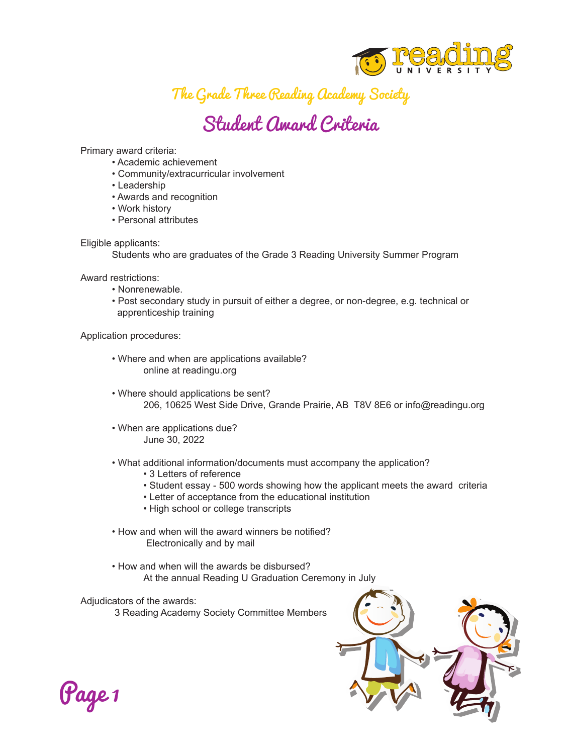

The Grade Three Reading Academy Society

## Student Award Criteria

Primary award criteria:

- Academic achievement
- Community/extracurricular involvement
- Leadership
- Awards and recognition
- Work history
- Personal attributes

Eligible applicants:

Students who are graduates of the Grade 3 Reading University Summer Program

Award restrictions:

- Nonrenewable.
- Post secondary study in pursuit of either a degree, or non-degree, e.g. technical or apprenticeship training

Application procedures:

- Where and when are applications available? online at readingu.org
- Where should applications be sent? 206, 10625 West Side Drive, Grande Prairie, AB T8V 8E6 or info@readingu.org
- When are applications due? June 30, 2022
- What additional information/documents must accompany the application?
	- 3 Letters of reference
	- Student essay 500 words showing how the applicant meets the award criteria
	- Letter of acceptance from the educational institution
	- High school or college transcripts
- How and when will the award winners be notified? Electronically and by mail
- How and when will the awards be disbursed? At the annual Reading U Graduation Ceremony in July

Adjudicators of the awards:

3 Reading Academy Society Committee Members



Page 1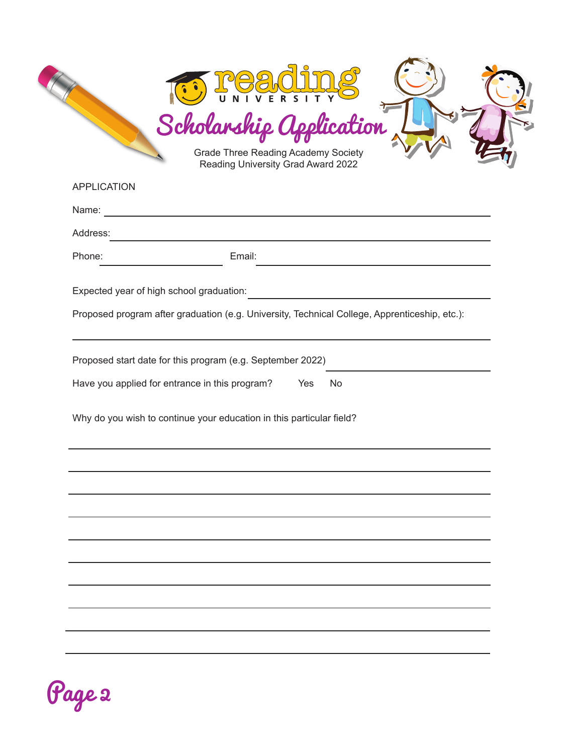| <b>APPLICATION</b> | Reading University Grad Award 2022                                                                                        |
|--------------------|---------------------------------------------------------------------------------------------------------------------------|
| Name:              |                                                                                                                           |
| Address:           |                                                                                                                           |
| Phone:             | Email:                                                                                                                    |
|                    | Expected year of high school graduation:                                                                                  |
|                    | Proposed program after graduation (e.g. University, Technical College, Apprenticeship, etc.):                             |
|                    | Proposed start date for this program (e.g. September 2022)<br>Have you applied for entrance in this program?<br>Yes<br>No |
|                    | Why do you wish to continue your education in this particular field?                                                      |
|                    |                                                                                                                           |
|                    |                                                                                                                           |
|                    |                                                                                                                           |
|                    |                                                                                                                           |
|                    |                                                                                                                           |
|                    |                                                                                                                           |